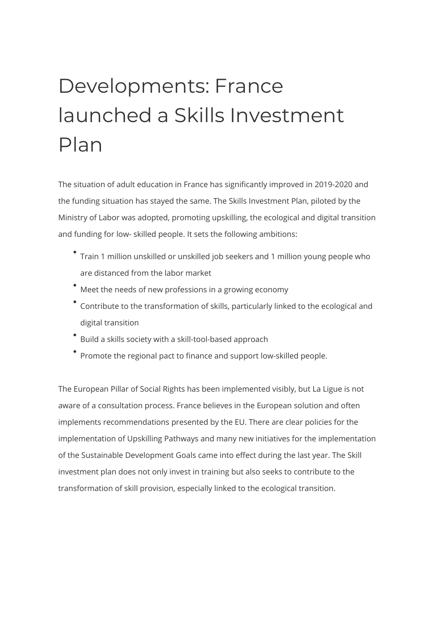## Developments: France launched a Skills Investment Plan

The situation of adult education in France has significantly improved in 2019-2020 and the funding situation has stayed the same. The Skills Investment Plan, piloted by the Ministry of Labor was adopted, promoting upskilling, the ecological and digital transition and funding for low- skilled people. It sets the following ambitions:

- Train 1 million unskilled or unskilled job seekers and 1 million young people who are distanced from the labor market
- Meet the needs of new professions in a growing economy
- Contribute to the transformation of skills, particularly linked to the ecological and digital transition
- Build a skills society with a skill-tool-based approach
- Promote the regional pact to finance and support low-skilled people.

The European Pillar of Social Rights has been implemented visibly, but La Ligue is not aware of a consultation process. France believes in the European solution and often implements recommendations presented by the EU. There are clear policies for the implementation of Upskilling Pathways and many new initiatives for the implementation of the Sustainable Development Goals came into effect during the last year. The Skill investment plan does not only invest in training but also seeks to contribute to the transformation of skill provision, especially linked to the ecological transition.